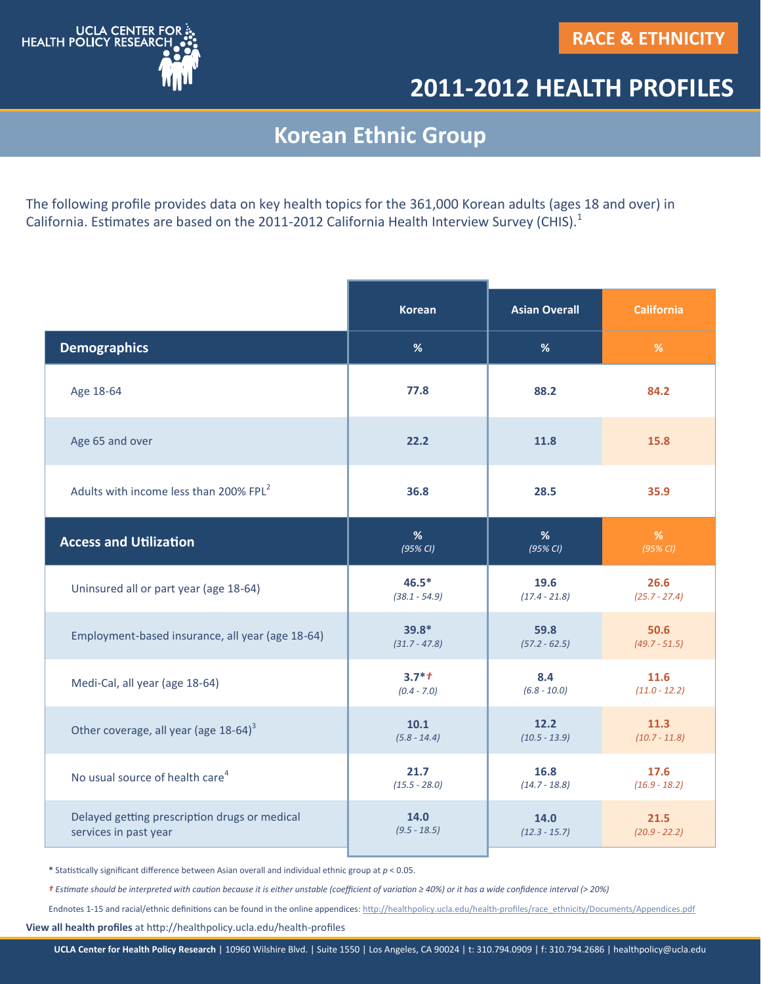

## **2011-2012 HEALTH PROFILES**

## **Korean Ethnic Group**

The following profile provides data on key health topics for the 361,000 Korean adults (ages 18 and over) in California. Estimates are based on the 2011-2012 California Health Interview Survey (CHIS).<sup>1</sup>

|                                                    | <b>Korean</b>   | <b>Asian Overall</b> | <b>California</b> |
|----------------------------------------------------|-----------------|----------------------|-------------------|
| <b>Demographics</b>                                | %               | %                    | %                 |
| Age 18-64                                          | 77.8            | 88.2                 | 84.2              |
| Age 65 and over                                    | 22.2            | 11.8                 | 15.8              |
| Adults with income less than 200% FPL <sup>2</sup> | 36.8            | 28.5                 | 35.9              |
| <b>Access and Utilization</b>                      | %               | %                    | %                 |
|                                                    | (95% CI)        | $(95\%$ CI)          | $(95\%$ CI)       |
| Uninsured all or part year (age 18-64)             | $46.5*$         | 19.6                 | 26.6              |
|                                                    | $(38.1 - 54.9)$ | $(17.4 - 21.8)$      | $(25.7 - 27.4)$   |
| Employment-based insurance, all year (age 18-64)   | $39.8*$         | 59.8                 | 50.6              |
|                                                    | $(31.7 - 47.8)$ | $(57.2 - 62.5)$      | $(49.7 - 51.5)$   |
| Medi-Cal, all year (age 18-64)                     | $3.7*1$         | 8.4                  | 11.6              |
|                                                    | $(0.4 - 7.0)$   | $(6.8 - 10.0)$       | $(11.0 - 12.2)$   |
| Other coverage, all year (age 18-64) <sup>3</sup>  | 10.1            | 12.2                 | 11.3              |
|                                                    | $(5.8 - 14.4)$  | $(10.5 - 13.9)$      | $(10.7 - 11.8)$   |
| No usual source of health care <sup>4</sup>        | 21.7            | 16.8                 | 17.6              |
|                                                    | $(15.5 - 28.0)$ | $(14.7 - 18.8)$      | $(16.9 - 18.2)$   |
| Delayed getting prescription drugs or medical      | 14.0            | 14.0                 | 21.5              |
| services in past year                              | $(9.5 - 18.5)$  | $(12.3 - 15.7)$      | $(20.9 - 22.2)$   |

**\*** Statistically significant difference between Asian overall and individual ethnic group at *p* < 0.05.

*† Estimate should be interpreted with caution because it is either unstable (coefficient of variation ≥ 40%) or it has a wide confidence interval ( 20%)*

Endnotes 1-15 and racial/ethnic definitions can be found in the online appendices: http://healthpolicy.ucla.edu/health-[profiles/race\\_ethnicity/Documents/Appendices.pdf](http://healthpolicy.ucla.edu/health-profiles/race_ethnicity/Documents/Appendices.pdf)

**View all health profiles** at http://healthpolicy.ucla.edu/health-profiles

**UCLA Center for Health Policy Research** | 10960 Wilshire Blvd. | Suite 1550 | Los Angeles, CA 90024 | t: 310.794.0909 | f: 310.794.2686 | healthpolicy@ucla.edu